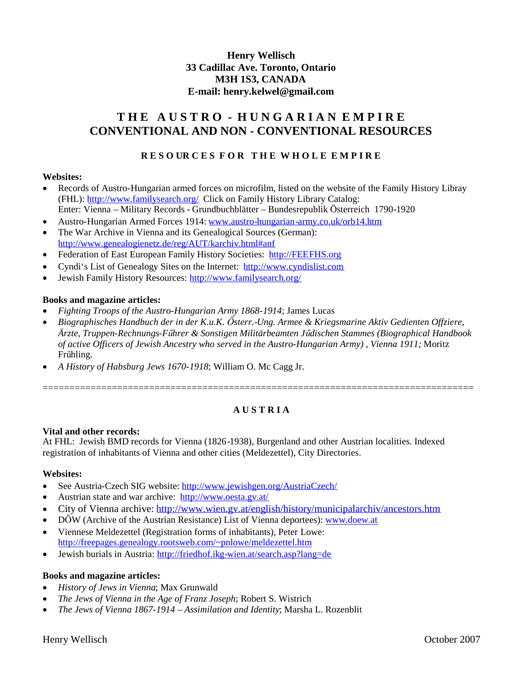## **Henry Wellisch 33 Cadillac Ave. Toronto, Ontario M3H 1S3, CANADA E-mail: henry.kelwel@gmail.com**

# **T H E A U S T R O - H U N G A R I A N E M P I R E CONVENTIONAL AND NON - CONVENTIONAL RESOURCES**

## **R E S O UR C E S F O R T H E W H O L E E M P I R E**

### **Websites:**

- Records of Austro-Hungarian armed forces on microfilm, listed on the website of the Family History Libray (FHL): http://www.familysearch.org/ Click on Family History Library Catalog: Enter: Vienna – Military Records - Grundbuchblätter – Bundesrepublik Österreich 1790-1920
- Austro-Hungarian Armed Forces 1914: www.austro-hungarian-army.co.uk/orb14.htm
- The War Archive in Vienna and its Genealogical Sources (German): http://www.genealogienetz.de/reg/AUT/karchiv.html#anf
- Federation of East European Family History Societies: http://FEEFHS.org
- Cyndi's List of Genealogy Sites on the Internet: http://www.cyndislist.com
- Jewish Family History Resources: http://www.familysearch.org/

### **Books and magazine articles:**

- *Fighting Troops of the Austro-Hungarian Army 1868-1914*; James Lucas
- *Biographisches Handbuch der in der K.u.K. Ősterr.-Ung. Armee & Kriegsmarine Aktiv Gedienten Offziere, Ärzte, Truppen-Rechnungs-Fűhrer & Sonstigen Militärbeamten Jűdischen Stammes (Biographical Handbook of active Officers of Jewish Ancestry who served in the Austro-Hungarian Army) , Vienna 1911;* Moritz Frűhling.
- *A History of Habsburg Jews 1670-1918*; William O. Mc Cagg Jr.

## **A U S T R I A**

=================================================================================

### **Vital and other records:**

At FHL: Jewish BMD records for Vienna (1826-1938), Burgenland and other Austrian localities. Indexed registration of inhabitants of Vienna and other cities (Meldezettel), City Directories.

### **Websites:**

- See Austria-Czech SIG website: http://www.jewishgen.org/AustriaCzech/
- Austrian state and war archive: http://www.oesta.gv.at/
- City of Vienna archive: http://www.wien.gv.at/english/history/municipalarchiv/ancestors.htm
- DŐW (Archive of the Austrian Resistance) List of Vienna deportees): www.doew.at
- Viennese Meldezettel (Registration forms of inhabitants), Peter Lowe: http://freepages.genealogy.rootsweb.com/~pnlowe/meldezettel.htm
- Jewish burials in Austria: http://friedhof.ikg-wien.at/search.asp?lang=de

### **Books and magazine articles:**

- *History of Jews in Vienna*; Max Grunwald
- *The Jews of Vienna in the Age of Franz Joseph*; Robert S. Wistrich
- *The Jews of Vienna 1867-1914 – Assimilation and Identity*; Marsha L. Rozenblit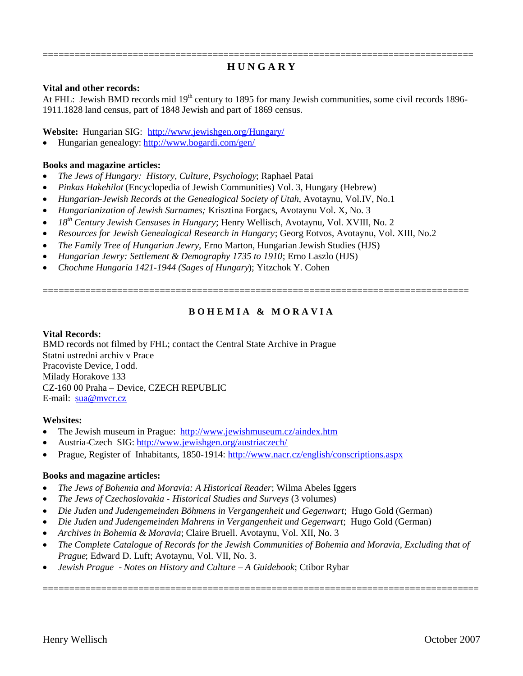### ================================================================================= **H U N G A R Y**

### **Vital and other records:**

At FHL: Jewish BMD records mid 19<sup>th</sup> century to 1895 for many Jewish communities, some civil records 1896-1911.1828 land census, part of 1848 Jewish and part of 1869 census.

**Website:** Hungarian SIG: http://www.jewishgen.org/Hungary/

Hungarian genealogy: http://www.bogardi.com/gen/

#### **Books and magazine articles:**

- *The Jews of Hungary: History, Culture, Psychology*; Raphael Patai
- *Pinkas Hakehilot* (Encyclopedia of Jewish Communities) Vol. 3, Hungary (Hebrew)
- *Hungarian-Jewish Records at the Genealogical Society of Utah*, Avotaynu, Vol.IV, No.1
- *Hungarianization of Jewish Surnames;* Krisztina Forgacs, Avotaynu Vol. X, No. 3
- *18th Century Jewish Censuses in Hungary*; Henry Wellisch, Avotaynu, Vol. XVIII, No. 2
- *Resources for Jewish Genealogical Research in Hungary*; Georg Eotvos, Avotaynu, Vol. XIII, No.2
- *The Family Tree of Hungarian Jewry,* Erno Marton, Hungarian Jewish Studies (HJS)
- *Hungarian Jewry: Settlement & Demography 1735 to 1910*; Erno Laszlo (HJS)
- *Chochme Hungaria 1421-1944 (Sages of Hungary*); Yitzchok Y. Cohen

## **B O H E M I A & M O R A V I A**

================================================================================

#### **Vital Records:**

BMD records not filmed by FHL; contact the Central State Archive in Prague Statni ustredni archiv v Prace Pracoviste Device, I odd. Milady Horakove 133 CZ-160 00 Praha – Device, CZECH REPUBLIC E-mail: sua@mvcr.cz

#### **Websites:**

- The Jewish museum in Prague: http://www.jewishmuseum.cz/aindex.htm
- Austria-Czech SIG: http://www.jewishgen.org/austriaczech/
- Prague, Register of Inhabitants, 1850-1914: http://www.nacr.cz/english/conscriptions.aspx

#### **Books and magazine articles:**

- *The Jews of Bohemia and Moravia: A Historical Reader*; Wilma Abeles Iggers
- *The Jews of Czechoslovakia - Historical Studies and Surveys* (3 volumes)
- *Die Juden und Judengemeinden Böhmens in Vergangenheit und Gegenwart*; Hugo Gold (German)
- *Die Juden und Judengemeinden Mahrens in Vergangenheit und Gegenwart*; Hugo Gold (German)
- *Archives in Bohemia & Moravia*; Claire Bruell. Avotaynu, Vol. XII, No. 3
- *The Complete Catalogue of Records for the Jewish Communities of Bohemia and Moravia, Excluding that of Prague*; Edward D. Luft; Avotaynu, Vol. VII, No. 3.

==================================================================================

*Jewish Prague - Notes on History and Culture* – *A Guidebook*; Ctibor Rybar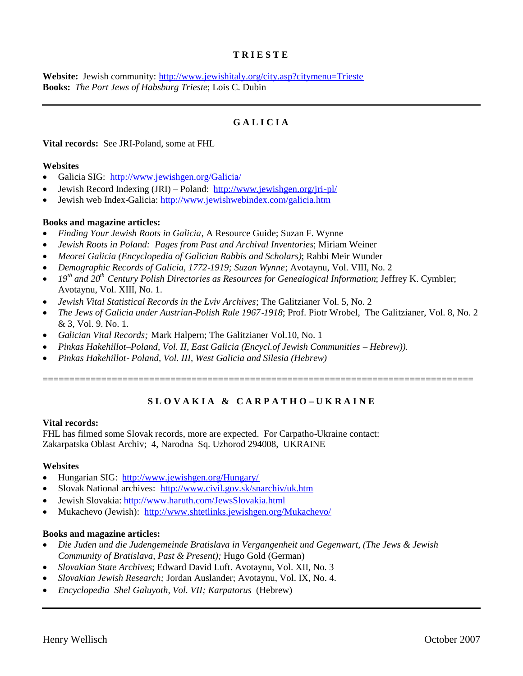### **T R I E S T E**

**Website:** Jewish community: http://www.jewishitaly.org/city.asp?citymenu=Trieste **Books:** *The Port Jews of Habsburg Trieste*; Lois C. Dubin

## **G A L I C I A**

**Vital records:** See JRI-Poland, some at FHL

### **Websites**

- Galicia SIG: http://www.jewishgen.org/Galicia/
- Jewish Record Indexing (JRI) Poland: http://www.jewishgen.org/jri-pl/
- Jewish web Index-Galicia: http://www.jewishwebindex.com/galicia.htm

### **Books and magazine articles:**

- *Finding Your Jewish Roots in Galicia*, A Resource Guide; Suzan F. Wynne
- *Jewish Roots in Poland: Pages from Past and Archival Inventories*; Miriam Weiner
- *Meorei Galicia (Encyclopedia of Galician Rabbis and Scholars)*; Rabbi Meir Wunder
- *Demographic Records of Galicia, 1772-1919; Suzan Wynne*; Avotaynu, Vol. VIII, No. 2
- *19th and 20th Century Polish Directories as Resources for Genealogical Information*; Jeffrey K. Cymbler; Avotaynu, Vol. XIII, No. 1.
- *Jewish Vital Statistical Records in the Lviv Archives*; The Galitzianer Vol. 5, No. 2
- *The Jews of Galicia under Austrian-Polish Rule 1967-1918*; Prof. Piotr Wrobel, The Galitzianer, Vol. 8, No. 2 & 3, Vol. 9. No. 1.
- *Galician Vital Records;* Mark Halpern; The Galitzianer Vol.10, No. 1
- *Pinkas Hakehillot–Poland, Vol. II, East Galicia (Encycl.of Jewish Communities – Hebrew)).*
- *Pinkas Hakehillot- Poland, Vol. III, West Galicia and Silesia (Hebrew)*

## **S L O V A K I A & C A R P A T H O – U K R A I N E**

=================================================================================

#### **Vital records:**

FHL has filmed some Slovak records, more are expected. For Carpatho-Ukraine contact: Zakarpatska Oblast Archiv; 4, Narodna Sq. Uzhorod 294008, UKRAINE

#### **Websites**

- Hungarian SIG: http://www.jewishgen.org/Hungary/
- Slovak National archives: http://www.civil.gov.sk/snarchiv/uk.htm
- Jewish Slovakia: http://www.haruth.com/JewsSlovakia.html
- Mukachevo (Jewish): http://www.shtetlinks.jewishgen.org/Mukachevo/

### **Books and magazine articles:**

- *Die Juden und die Judengemeinde Bratislava in Vergangenheit und Gegenwart, (The Jews & Jewish Community of Bratislava, Past & Present);* Hugo Gold (German)
- *Slovakian State Archives*; Edward David Luft. Avotaynu, Vol. XII, No. 3
- *Slovakian Jewish Research;* Jordan Auslander; Avotaynu, Vol. IX, No. 4.
- *Encyclopedia Shel Galuyoth, Vol. VII; Karpatorus* (Hebrew)